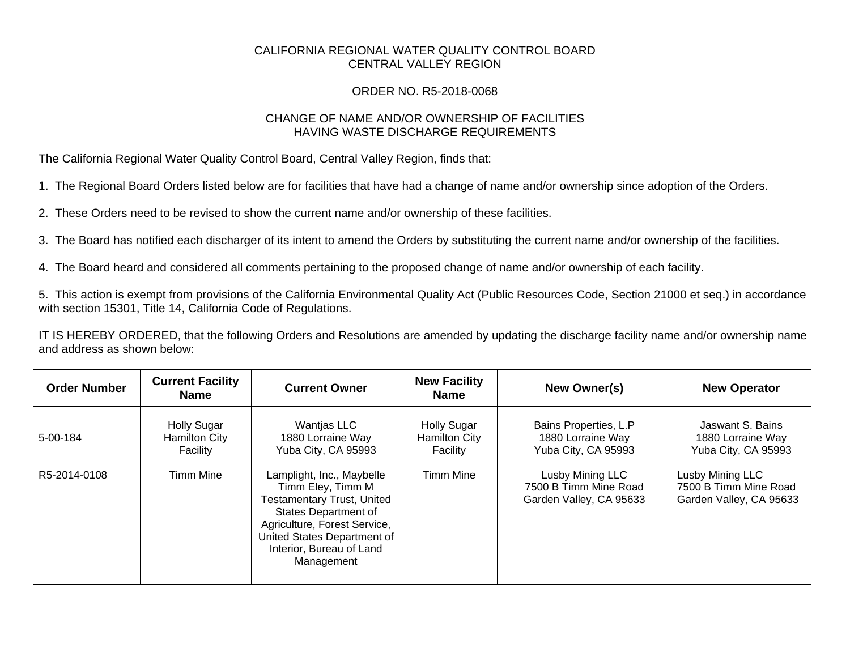## CALIFORNIA REGIONAL WATER QUALITY CONTROL BOARD CENTRAL VALLEY REGION

## ORDER NO. R5-2018-0068

## CHANGE OF NAME AND/OR OWNERSHIP OF FACILITIES HAVING WASTE DISCHARGE REQUIREMENTS

The California Regional Water Quality Control Board, Central Valley Region, finds that:

1. The Regional Board Orders listed below are for facilities that have had a change of name and/or ownership since adoption of the Orders.

2. These Orders need to be revised to show the current name and/or ownership of these facilities.

3. The Board has notified each discharger of its intent to amend the Orders by substituting the current name and/or ownership of the facilities.

4. The Board heard and considered all comments pertaining to the proposed change of name and/or ownership of each facility.

5. This action is exempt from provisions of the California Environmental Quality Act (Public Resources Code, Section 21000 et seq.) in accordance with section 15301, Title 14, California Code of Regulations.

IT IS HEREBY ORDERED, that the following Orders and Resolutions are amended by updating the discharge facility name and/or ownership name and address as shown below:

| <b>Order Number</b> | <b>Current Facility</b><br><b>Name</b>                 | <b>Current Owner</b>                                                                                                                                                                                                        | <b>New Facility</b><br><b>Name</b>                     | New Owner(s)                                                         | <b>New Operator</b>                                                  |
|---------------------|--------------------------------------------------------|-----------------------------------------------------------------------------------------------------------------------------------------------------------------------------------------------------------------------------|--------------------------------------------------------|----------------------------------------------------------------------|----------------------------------------------------------------------|
| 5-00-184            | <b>Holly Sugar</b><br><b>Hamilton City</b><br>Facility | <b>Wantjas LLC</b><br>1880 Lorraine Way<br>Yuba City, CA 95993                                                                                                                                                              | <b>Holly Sugar</b><br><b>Hamilton City</b><br>Facility | Bains Properties, L.P<br>1880 Lorraine Way<br>Yuba City, CA 95993    | Jaswant S. Bains<br>1880 Lorraine Way<br>Yuba City, CA 95993         |
| R5-2014-0108        | <b>Timm Mine</b>                                       | Lamplight, Inc., Maybelle<br>Timm Eley, Timm M<br><b>Testamentary Trust, United</b><br><b>States Department of</b><br>Agriculture, Forest Service,<br>United States Department of<br>Interior, Bureau of Land<br>Management | <b>Timm Mine</b>                                       | Lusby Mining LLC<br>7500 B Timm Mine Road<br>Garden Valley, CA 95633 | Lusby Mining LLC<br>7500 B Timm Mine Road<br>Garden Valley, CA 95633 |